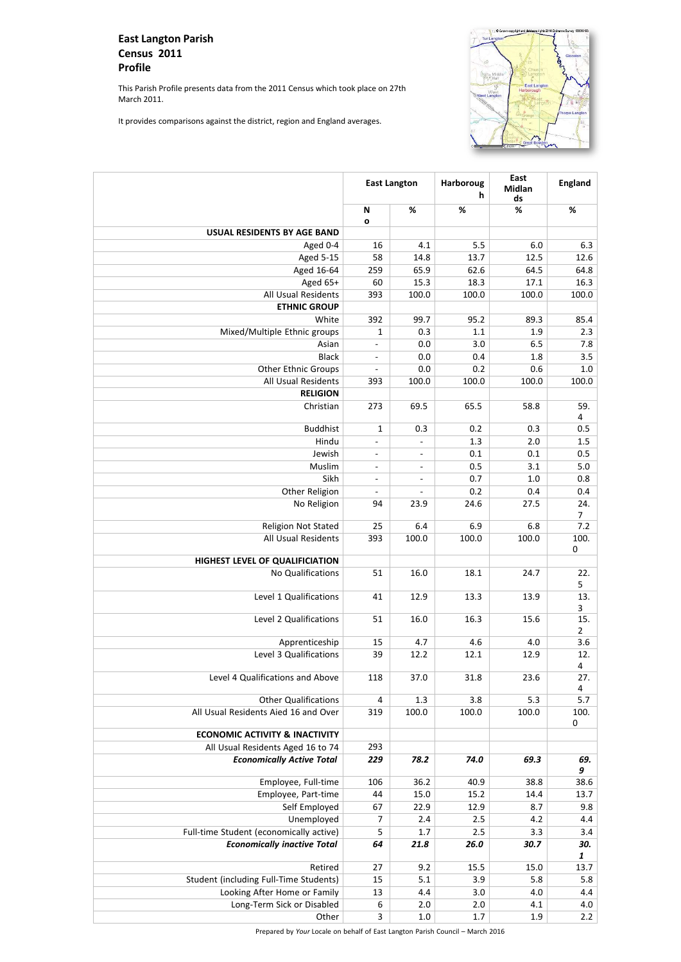Prepared by *Your* Locale on behalf of East Langton Parish Council – March 2016

## **East Langton Parish Census 2011 Profile**

This Parish Profile presents data from the 2011 Census which took place on 27th March 2011.

It provides comparisons against the district, region and England averages.



|                                                                       |                          | <b>Harboroug</b><br><b>East Langton</b><br>h |             | East<br><b>Midlan</b><br>ds | <b>England</b>           |
|-----------------------------------------------------------------------|--------------------------|----------------------------------------------|-------------|-----------------------------|--------------------------|
|                                                                       | N                        | %                                            | %           | %                           | %                        |
| <b>USUAL RESIDENTS BY AGE BAND</b>                                    | $\mathbf{o}$             |                                              |             |                             |                          |
| Aged 0-4                                                              | 16                       | 4.1                                          | 5.5         | 6.0                         | 6.3                      |
| <b>Aged 5-15</b>                                                      | 58                       | 14.8                                         | 13.7        | 12.5                        | 12.6                     |
| Aged 16-64                                                            | 259                      | 65.9                                         | 62.6        | 64.5                        | 64.8                     |
| Aged 65+                                                              | 60                       | 15.3                                         | 18.3        | 17.1                        | 16.3                     |
| <b>All Usual Residents</b>                                            | 393                      | 100.0                                        | 100.0       | 100.0                       | 100.0                    |
| <b>ETHNIC GROUP</b>                                                   |                          |                                              |             |                             |                          |
| White                                                                 | 392                      | 99.7                                         | 95.2        | 89.3                        | 85.4                     |
| Mixed/Multiple Ethnic groups                                          | 1                        | 0.3                                          | 1.1         | 1.9                         | 2.3                      |
| Asian                                                                 | $ \,$                    | 0.0                                          | 3.0         | 6.5                         | 7.8                      |
| <b>Black</b>                                                          | $\blacksquare$           | 0.0                                          | 0.4         | 1.8                         | 3.5                      |
| <b>Other Ethnic Groups</b>                                            | $\overline{\phantom{a}}$ | 0.0                                          | 0.2         | 0.6                         | 1.0                      |
| <b>All Usual Residents</b>                                            | 393                      | 100.0                                        | 100.0       | 100.0                       | 100.0                    |
| <b>RELIGION</b>                                                       |                          |                                              |             |                             |                          |
| Christian                                                             | 273                      | 69.5                                         | 65.5        | 58.8                        | 59.<br>4                 |
| <b>Buddhist</b>                                                       | $\mathbf 1$              | 0.3                                          | 0.2         | 0.3                         | 0.5                      |
| Hindu                                                                 | $\overline{\phantom{a}}$ | $-$                                          | 1.3         | 2.0                         | 1.5                      |
| Jewish                                                                | $-$                      | $\overline{\phantom{a}}$                     | 0.1         | 0.1                         | 0.5                      |
| Muslim                                                                | $-$                      | $-$                                          | 0.5         | 3.1                         | 5.0                      |
| Sikh                                                                  | $-$                      | $\blacksquare$                               | 0.7         | 1.0                         | 0.8                      |
| <b>Other Religion</b>                                                 | $-$                      | $\overline{\phantom{a}}$                     | 0.2         | 0.4                         | 0.4                      |
| No Religion                                                           | 94                       | 23.9                                         | 24.6        | 27.5                        | 24.<br>$\overline{7}$    |
| <b>Religion Not Stated</b>                                            | 25                       | 6.4                                          | 6.9         | 6.8                         | 7.2                      |
| <b>All Usual Residents</b>                                            | 393                      | 100.0                                        | 100.0       | 100.0                       | 100.<br>$\mathbf 0$      |
| HIGHEST LEVEL OF QUALIFICIATION                                       |                          |                                              |             |                             |                          |
| No Qualifications                                                     | 51                       | 16.0                                         | 18.1        | 24.7                        | 22.<br>5                 |
| Level 1 Qualifications                                                | 41                       | 12.9                                         | 13.3        | 13.9                        | 13.<br>$\mathbf{3}$      |
| Level 2 Qualifications                                                | 51                       | 16.0                                         | 16.3        | 15.6                        | 15.<br>$\overline{2}$    |
| Apprenticeship                                                        | 15                       | 4.7                                          | 4.6         | 4.0                         | 3.6                      |
| Level 3 Qualifications                                                | 39                       | 12.2                                         | 12.1        | 12.9                        | 12.<br>$\overline{4}$    |
| Level 4 Qualifications and Above                                      | 118                      | 37.0                                         | 31.8        | 23.6                        | 27.<br>$\overline{4}$    |
| <b>Other Qualifications</b>                                           | 4                        | 1.3                                          | 3.8         | 5.3                         | 5.7                      |
| All Usual Residents Aied 16 and Over                                  | 319                      | 100.0                                        | 100.0       | 100.0                       | 100.<br>$\boldsymbol{0}$ |
| <b>ECONOMIC ACTIVITY &amp; INACTIVITY</b>                             |                          |                                              |             |                             |                          |
| All Usual Residents Aged 16 to 74<br><b>Economically Active Total</b> | 293<br>229               | 78.2                                         | 74.0        | 69.3                        | 69.                      |
|                                                                       |                          |                                              |             |                             | 9                        |
| Employee, Full-time                                                   | 106                      | 36.2                                         | 40.9        | 38.8                        | 38.6                     |
| Employee, Part-time                                                   | 44                       | 15.0                                         | 15.2        | 14.4                        | 13.7                     |
| Self Employed                                                         | 67                       | 22.9                                         | 12.9        | 8.7                         | 9.8                      |
| Unemployed                                                            | 7                        | 2.4                                          | 2.5         | 4.2                         | 4.4                      |
| Full-time Student (economically active)                               | 5                        | 1.7                                          | 2.5         | 3.3                         | 3.4                      |
| <b>Economically inactive Total</b>                                    | 64                       | 21.8                                         | <b>26.0</b> | 30.7                        | 30.<br>$\boldsymbol{1}$  |
| Retired                                                               | 27                       | 9.2                                          | 15.5        | 15.0                        | 13.7                     |
| Student (including Full-Time Students)                                | 15                       | 5.1                                          | 3.9         | 5.8                         | 5.8                      |
| Looking After Home or Family                                          | 13                       | 4.4                                          | 3.0         | 4.0                         | 4.4                      |
| Long-Term Sick or Disabled                                            | 6                        | 2.0                                          | 2.0         | 4.1                         | 4.0                      |
| Other                                                                 | 3                        | 1.0                                          | 1.7         | 1.9                         | 2.2                      |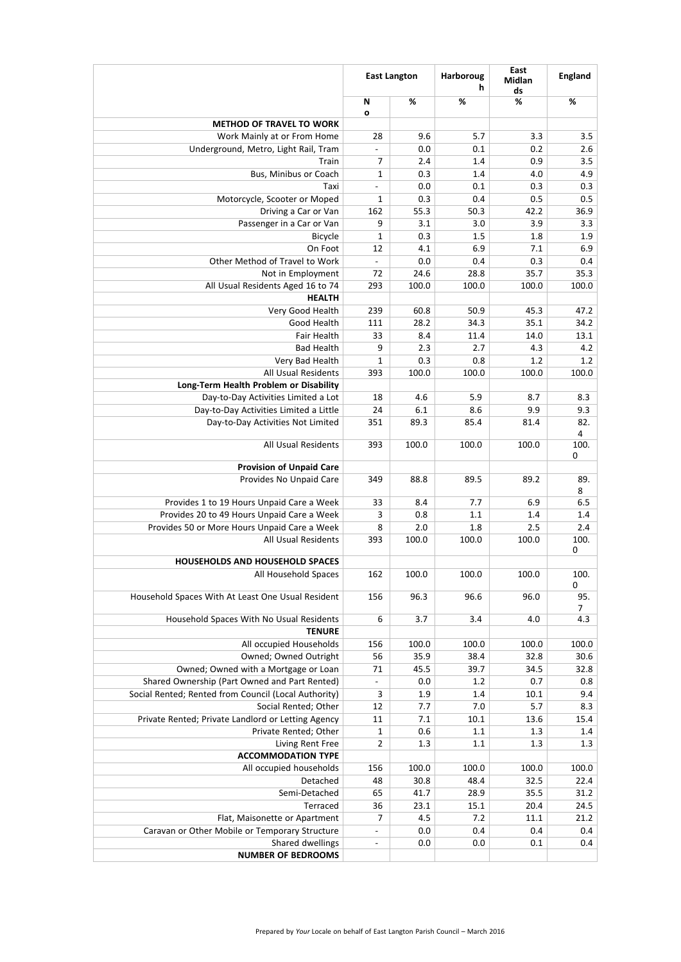| %<br>%<br>%<br>%<br>N<br>$\mathbf{o}$<br><b>METHOD OF TRAVEL TO WORK</b><br>28<br>9.6<br>5.7<br>3.3<br>3.5<br>Work Mainly at or From Home<br>Underground, Metro, Light Rail, Tram<br>0.2<br>0.0<br>0.1<br>2.6<br>$\blacksquare$<br>0.9<br>3.5<br>7<br>2.4<br>1.4<br>Train<br>Bus, Minibus or Coach<br>4.9<br>$\mathbf 1$<br>0.3<br>4.0<br>1.4<br>0.3<br>0.3<br>0.0<br>0.1<br>Taxi<br>$\blacksquare$<br>Motorcycle, Scooter or Moped<br>0.5<br>0.5<br>1<br>0.3<br>0.4<br>Driving a Car or Van<br>162<br>36.9<br>55.3<br>50.3<br>42.2<br>Passenger in a Car or Van<br>3.9<br>3.3<br>9<br>3.0<br>3.1<br>1.8<br>1.9<br>0.3<br>1.5<br><b>Bicycle</b><br>1<br>6.9<br>7.1<br>6.9<br>On Foot<br>12<br>4.1<br>Other Method of Travel to Work<br>0.3<br>0.4<br>0.0<br>0.4<br>Not in Employment<br>72<br>28.8<br>35.7<br>35.3<br>24.6<br>All Usual Residents Aged 16 to 74<br>293<br>100.0<br>100.0<br>100.0<br>100.0<br><b>HEALTH</b><br>Very Good Health<br>239<br>60.8<br>50.9<br>45.3<br>47.2<br><b>Good Health</b><br>28.2<br>34.2<br>111<br>34.3<br>35.1<br>13.1<br>Fair Health<br>33<br>8.4<br>11.4<br>14.0<br><b>Bad Health</b><br>9<br>4.3<br>4.2<br>2.3<br>2.7<br>Very Bad Health<br>1.2<br>1.2<br>0.3<br>0.8<br>1<br>100.0<br><b>All Usual Residents</b><br>393<br>100.0<br>100.0<br>100.0<br>Long-Term Health Problem or Disability<br>Day-to-Day Activities Limited a Lot<br>5.9<br>8.3<br>18<br>4.6<br>8.7<br>Day-to-Day Activities Limited a Little<br>8.6<br>9.9<br>9.3<br>6.1<br>24<br>82.<br>Day-to-Day Activities Not Limited<br>89.3<br>85.4<br>81.4<br>351<br>4<br>100.0<br>100.0<br><b>All Usual Residents</b><br>393<br>100.0<br>100.<br>0<br><b>Provision of Unpaid Care</b><br>89.2<br>Provides No Unpaid Care<br>88.8<br>89.5<br>89.<br>349<br>8<br>6.5<br>Provides 1 to 19 Hours Unpaid Care a Week<br>7.7<br>6.9<br>33<br>8.4<br>Provides 20 to 49 Hours Unpaid Care a Week<br>0.8<br>1.1<br>1.4<br>3<br>1.4<br>Provides 50 or More Hours Unpaid Care a Week<br>2.0<br>1.8<br>2.5<br>2.4<br>8<br><b>All Usual Residents</b><br>100.0<br>100.0<br>100.0<br>100.<br>393<br>0<br><b>HOUSEHOLDS AND HOUSEHOLD SPACES</b><br>100.0<br>100.0<br>100.0<br>100.<br>All Household Spaces<br>162<br>$\mathbf 0$<br>96.3<br>96.6<br>95.<br>Household Spaces With At Least One Usual Resident<br>156<br>96.0<br>6<br>3.7<br>Household Spaces With No Usual Residents<br>3.4<br>4.0<br>4.3<br><b>TENURE</b><br>100.0<br>All occupied Households<br>100.0<br>100.0<br>100.0<br>156<br><b>Owned; Owned Outright</b><br>35.9<br>38.4<br>32.8<br>30.6<br>56<br>Owned; Owned with a Mortgage or Loan<br>39.7<br>34.5<br>32.8<br>45.5<br>71<br>Shared Ownership (Part Owned and Part Rented)<br>0.7<br>0.8<br>0.0<br>1.2<br>$\overline{\phantom{0}}$<br>Social Rented; Rented from Council (Local Authority)<br>10.1<br>9.4<br>3<br>1.9<br>1.4<br>8.3<br>Social Rented; Other<br>12<br>7.0<br>5.7<br>7.7<br>Private Rented; Private Landlord or Letting Agency<br>15.4<br>11<br>10.1<br>13.6<br>7.1<br>1.3<br>Private Rented; Other<br>0.6<br>1.1<br>1.4<br>$\mathbf{1}$<br>1.3<br>1.3<br>Living Rent Free<br>$\overline{2}$<br>1.3<br>1.1<br><b>ACCOMMODATION TYPE</b><br>100.0<br>All occupied households<br>100.0<br>100.0<br>100.0<br>156<br>Detached<br>32.5<br>22.4<br>48<br>30.8<br>48.4<br>Semi-Detached<br>28.9<br>31.2<br>65<br>41.7<br>35.5<br>24.5<br><b>Terraced</b><br>36<br>23.1<br>20.4<br>15.1<br>21.2<br>7<br>4.5<br>7.2<br>11.1<br>Flat, Maisonette or Apartment<br>Caravan or Other Mobile or Temporary Structure<br>0.0<br>0.4<br>0.4<br>0.4<br>$\blacksquare$ | <b>East Langton</b> |  | <b>Harboroug</b><br>h | East<br><b>Midlan</b><br>ds | <b>England</b> |
|-----------------------------------------------------------------------------------------------------------------------------------------------------------------------------------------------------------------------------------------------------------------------------------------------------------------------------------------------------------------------------------------------------------------------------------------------------------------------------------------------------------------------------------------------------------------------------------------------------------------------------------------------------------------------------------------------------------------------------------------------------------------------------------------------------------------------------------------------------------------------------------------------------------------------------------------------------------------------------------------------------------------------------------------------------------------------------------------------------------------------------------------------------------------------------------------------------------------------------------------------------------------------------------------------------------------------------------------------------------------------------------------------------------------------------------------------------------------------------------------------------------------------------------------------------------------------------------------------------------------------------------------------------------------------------------------------------------------------------------------------------------------------------------------------------------------------------------------------------------------------------------------------------------------------------------------------------------------------------------------------------------------------------------------------------------------------------------------------------------------------------------------------------------------------------------------------------------------------------------------------------------------------------------------------------------------------------------------------------------------------------------------------------------------------------------------------------------------------------------------------------------------------------------------------------------------------------------------------------------------------------------------------------------------------------------------------------------------------------------------------------------------------------------------------------------------------------------------------------------------------------------------------------------------------------------------------------------------------------------------------------------------------------------------------------------------------------------------------------------------------------------------------------------------------------------------------------------------------------------------------------------------------------------------------------------------------------------------------------------------------------------------------------------------------------------------------------------------------------------------------------------------------------------------------------------------------------------|---------------------|--|-----------------------|-----------------------------|----------------|
|                                                                                                                                                                                                                                                                                                                                                                                                                                                                                                                                                                                                                                                                                                                                                                                                                                                                                                                                                                                                                                                                                                                                                                                                                                                                                                                                                                                                                                                                                                                                                                                                                                                                                                                                                                                                                                                                                                                                                                                                                                                                                                                                                                                                                                                                                                                                                                                                                                                                                                                                                                                                                                                                                                                                                                                                                                                                                                                                                                                                                                                                                                                                                                                                                                                                                                                                                                                                                                                                                                                                                                                   |                     |  |                       |                             |                |
|                                                                                                                                                                                                                                                                                                                                                                                                                                                                                                                                                                                                                                                                                                                                                                                                                                                                                                                                                                                                                                                                                                                                                                                                                                                                                                                                                                                                                                                                                                                                                                                                                                                                                                                                                                                                                                                                                                                                                                                                                                                                                                                                                                                                                                                                                                                                                                                                                                                                                                                                                                                                                                                                                                                                                                                                                                                                                                                                                                                                                                                                                                                                                                                                                                                                                                                                                                                                                                                                                                                                                                                   |                     |  |                       |                             |                |
|                                                                                                                                                                                                                                                                                                                                                                                                                                                                                                                                                                                                                                                                                                                                                                                                                                                                                                                                                                                                                                                                                                                                                                                                                                                                                                                                                                                                                                                                                                                                                                                                                                                                                                                                                                                                                                                                                                                                                                                                                                                                                                                                                                                                                                                                                                                                                                                                                                                                                                                                                                                                                                                                                                                                                                                                                                                                                                                                                                                                                                                                                                                                                                                                                                                                                                                                                                                                                                                                                                                                                                                   |                     |  |                       |                             |                |
|                                                                                                                                                                                                                                                                                                                                                                                                                                                                                                                                                                                                                                                                                                                                                                                                                                                                                                                                                                                                                                                                                                                                                                                                                                                                                                                                                                                                                                                                                                                                                                                                                                                                                                                                                                                                                                                                                                                                                                                                                                                                                                                                                                                                                                                                                                                                                                                                                                                                                                                                                                                                                                                                                                                                                                                                                                                                                                                                                                                                                                                                                                                                                                                                                                                                                                                                                                                                                                                                                                                                                                                   |                     |  |                       |                             |                |
|                                                                                                                                                                                                                                                                                                                                                                                                                                                                                                                                                                                                                                                                                                                                                                                                                                                                                                                                                                                                                                                                                                                                                                                                                                                                                                                                                                                                                                                                                                                                                                                                                                                                                                                                                                                                                                                                                                                                                                                                                                                                                                                                                                                                                                                                                                                                                                                                                                                                                                                                                                                                                                                                                                                                                                                                                                                                                                                                                                                                                                                                                                                                                                                                                                                                                                                                                                                                                                                                                                                                                                                   |                     |  |                       |                             |                |
|                                                                                                                                                                                                                                                                                                                                                                                                                                                                                                                                                                                                                                                                                                                                                                                                                                                                                                                                                                                                                                                                                                                                                                                                                                                                                                                                                                                                                                                                                                                                                                                                                                                                                                                                                                                                                                                                                                                                                                                                                                                                                                                                                                                                                                                                                                                                                                                                                                                                                                                                                                                                                                                                                                                                                                                                                                                                                                                                                                                                                                                                                                                                                                                                                                                                                                                                                                                                                                                                                                                                                                                   |                     |  |                       |                             |                |
|                                                                                                                                                                                                                                                                                                                                                                                                                                                                                                                                                                                                                                                                                                                                                                                                                                                                                                                                                                                                                                                                                                                                                                                                                                                                                                                                                                                                                                                                                                                                                                                                                                                                                                                                                                                                                                                                                                                                                                                                                                                                                                                                                                                                                                                                                                                                                                                                                                                                                                                                                                                                                                                                                                                                                                                                                                                                                                                                                                                                                                                                                                                                                                                                                                                                                                                                                                                                                                                                                                                                                                                   |                     |  |                       |                             |                |
|                                                                                                                                                                                                                                                                                                                                                                                                                                                                                                                                                                                                                                                                                                                                                                                                                                                                                                                                                                                                                                                                                                                                                                                                                                                                                                                                                                                                                                                                                                                                                                                                                                                                                                                                                                                                                                                                                                                                                                                                                                                                                                                                                                                                                                                                                                                                                                                                                                                                                                                                                                                                                                                                                                                                                                                                                                                                                                                                                                                                                                                                                                                                                                                                                                                                                                                                                                                                                                                                                                                                                                                   |                     |  |                       |                             |                |
|                                                                                                                                                                                                                                                                                                                                                                                                                                                                                                                                                                                                                                                                                                                                                                                                                                                                                                                                                                                                                                                                                                                                                                                                                                                                                                                                                                                                                                                                                                                                                                                                                                                                                                                                                                                                                                                                                                                                                                                                                                                                                                                                                                                                                                                                                                                                                                                                                                                                                                                                                                                                                                                                                                                                                                                                                                                                                                                                                                                                                                                                                                                                                                                                                                                                                                                                                                                                                                                                                                                                                                                   |                     |  |                       |                             |                |
|                                                                                                                                                                                                                                                                                                                                                                                                                                                                                                                                                                                                                                                                                                                                                                                                                                                                                                                                                                                                                                                                                                                                                                                                                                                                                                                                                                                                                                                                                                                                                                                                                                                                                                                                                                                                                                                                                                                                                                                                                                                                                                                                                                                                                                                                                                                                                                                                                                                                                                                                                                                                                                                                                                                                                                                                                                                                                                                                                                                                                                                                                                                                                                                                                                                                                                                                                                                                                                                                                                                                                                                   |                     |  |                       |                             |                |
|                                                                                                                                                                                                                                                                                                                                                                                                                                                                                                                                                                                                                                                                                                                                                                                                                                                                                                                                                                                                                                                                                                                                                                                                                                                                                                                                                                                                                                                                                                                                                                                                                                                                                                                                                                                                                                                                                                                                                                                                                                                                                                                                                                                                                                                                                                                                                                                                                                                                                                                                                                                                                                                                                                                                                                                                                                                                                                                                                                                                                                                                                                                                                                                                                                                                                                                                                                                                                                                                                                                                                                                   |                     |  |                       |                             |                |
|                                                                                                                                                                                                                                                                                                                                                                                                                                                                                                                                                                                                                                                                                                                                                                                                                                                                                                                                                                                                                                                                                                                                                                                                                                                                                                                                                                                                                                                                                                                                                                                                                                                                                                                                                                                                                                                                                                                                                                                                                                                                                                                                                                                                                                                                                                                                                                                                                                                                                                                                                                                                                                                                                                                                                                                                                                                                                                                                                                                                                                                                                                                                                                                                                                                                                                                                                                                                                                                                                                                                                                                   |                     |  |                       |                             |                |
|                                                                                                                                                                                                                                                                                                                                                                                                                                                                                                                                                                                                                                                                                                                                                                                                                                                                                                                                                                                                                                                                                                                                                                                                                                                                                                                                                                                                                                                                                                                                                                                                                                                                                                                                                                                                                                                                                                                                                                                                                                                                                                                                                                                                                                                                                                                                                                                                                                                                                                                                                                                                                                                                                                                                                                                                                                                                                                                                                                                                                                                                                                                                                                                                                                                                                                                                                                                                                                                                                                                                                                                   |                     |  |                       |                             |                |
|                                                                                                                                                                                                                                                                                                                                                                                                                                                                                                                                                                                                                                                                                                                                                                                                                                                                                                                                                                                                                                                                                                                                                                                                                                                                                                                                                                                                                                                                                                                                                                                                                                                                                                                                                                                                                                                                                                                                                                                                                                                                                                                                                                                                                                                                                                                                                                                                                                                                                                                                                                                                                                                                                                                                                                                                                                                                                                                                                                                                                                                                                                                                                                                                                                                                                                                                                                                                                                                                                                                                                                                   |                     |  |                       |                             |                |
|                                                                                                                                                                                                                                                                                                                                                                                                                                                                                                                                                                                                                                                                                                                                                                                                                                                                                                                                                                                                                                                                                                                                                                                                                                                                                                                                                                                                                                                                                                                                                                                                                                                                                                                                                                                                                                                                                                                                                                                                                                                                                                                                                                                                                                                                                                                                                                                                                                                                                                                                                                                                                                                                                                                                                                                                                                                                                                                                                                                                                                                                                                                                                                                                                                                                                                                                                                                                                                                                                                                                                                                   |                     |  |                       |                             |                |
|                                                                                                                                                                                                                                                                                                                                                                                                                                                                                                                                                                                                                                                                                                                                                                                                                                                                                                                                                                                                                                                                                                                                                                                                                                                                                                                                                                                                                                                                                                                                                                                                                                                                                                                                                                                                                                                                                                                                                                                                                                                                                                                                                                                                                                                                                                                                                                                                                                                                                                                                                                                                                                                                                                                                                                                                                                                                                                                                                                                                                                                                                                                                                                                                                                                                                                                                                                                                                                                                                                                                                                                   |                     |  |                       |                             |                |
|                                                                                                                                                                                                                                                                                                                                                                                                                                                                                                                                                                                                                                                                                                                                                                                                                                                                                                                                                                                                                                                                                                                                                                                                                                                                                                                                                                                                                                                                                                                                                                                                                                                                                                                                                                                                                                                                                                                                                                                                                                                                                                                                                                                                                                                                                                                                                                                                                                                                                                                                                                                                                                                                                                                                                                                                                                                                                                                                                                                                                                                                                                                                                                                                                                                                                                                                                                                                                                                                                                                                                                                   |                     |  |                       |                             |                |
|                                                                                                                                                                                                                                                                                                                                                                                                                                                                                                                                                                                                                                                                                                                                                                                                                                                                                                                                                                                                                                                                                                                                                                                                                                                                                                                                                                                                                                                                                                                                                                                                                                                                                                                                                                                                                                                                                                                                                                                                                                                                                                                                                                                                                                                                                                                                                                                                                                                                                                                                                                                                                                                                                                                                                                                                                                                                                                                                                                                                                                                                                                                                                                                                                                                                                                                                                                                                                                                                                                                                                                                   |                     |  |                       |                             |                |
|                                                                                                                                                                                                                                                                                                                                                                                                                                                                                                                                                                                                                                                                                                                                                                                                                                                                                                                                                                                                                                                                                                                                                                                                                                                                                                                                                                                                                                                                                                                                                                                                                                                                                                                                                                                                                                                                                                                                                                                                                                                                                                                                                                                                                                                                                                                                                                                                                                                                                                                                                                                                                                                                                                                                                                                                                                                                                                                                                                                                                                                                                                                                                                                                                                                                                                                                                                                                                                                                                                                                                                                   |                     |  |                       |                             |                |
|                                                                                                                                                                                                                                                                                                                                                                                                                                                                                                                                                                                                                                                                                                                                                                                                                                                                                                                                                                                                                                                                                                                                                                                                                                                                                                                                                                                                                                                                                                                                                                                                                                                                                                                                                                                                                                                                                                                                                                                                                                                                                                                                                                                                                                                                                                                                                                                                                                                                                                                                                                                                                                                                                                                                                                                                                                                                                                                                                                                                                                                                                                                                                                                                                                                                                                                                                                                                                                                                                                                                                                                   |                     |  |                       |                             |                |
|                                                                                                                                                                                                                                                                                                                                                                                                                                                                                                                                                                                                                                                                                                                                                                                                                                                                                                                                                                                                                                                                                                                                                                                                                                                                                                                                                                                                                                                                                                                                                                                                                                                                                                                                                                                                                                                                                                                                                                                                                                                                                                                                                                                                                                                                                                                                                                                                                                                                                                                                                                                                                                                                                                                                                                                                                                                                                                                                                                                                                                                                                                                                                                                                                                                                                                                                                                                                                                                                                                                                                                                   |                     |  |                       |                             |                |
|                                                                                                                                                                                                                                                                                                                                                                                                                                                                                                                                                                                                                                                                                                                                                                                                                                                                                                                                                                                                                                                                                                                                                                                                                                                                                                                                                                                                                                                                                                                                                                                                                                                                                                                                                                                                                                                                                                                                                                                                                                                                                                                                                                                                                                                                                                                                                                                                                                                                                                                                                                                                                                                                                                                                                                                                                                                                                                                                                                                                                                                                                                                                                                                                                                                                                                                                                                                                                                                                                                                                                                                   |                     |  |                       |                             |                |
|                                                                                                                                                                                                                                                                                                                                                                                                                                                                                                                                                                                                                                                                                                                                                                                                                                                                                                                                                                                                                                                                                                                                                                                                                                                                                                                                                                                                                                                                                                                                                                                                                                                                                                                                                                                                                                                                                                                                                                                                                                                                                                                                                                                                                                                                                                                                                                                                                                                                                                                                                                                                                                                                                                                                                                                                                                                                                                                                                                                                                                                                                                                                                                                                                                                                                                                                                                                                                                                                                                                                                                                   |                     |  |                       |                             |                |
|                                                                                                                                                                                                                                                                                                                                                                                                                                                                                                                                                                                                                                                                                                                                                                                                                                                                                                                                                                                                                                                                                                                                                                                                                                                                                                                                                                                                                                                                                                                                                                                                                                                                                                                                                                                                                                                                                                                                                                                                                                                                                                                                                                                                                                                                                                                                                                                                                                                                                                                                                                                                                                                                                                                                                                                                                                                                                                                                                                                                                                                                                                                                                                                                                                                                                                                                                                                                                                                                                                                                                                                   |                     |  |                       |                             |                |
|                                                                                                                                                                                                                                                                                                                                                                                                                                                                                                                                                                                                                                                                                                                                                                                                                                                                                                                                                                                                                                                                                                                                                                                                                                                                                                                                                                                                                                                                                                                                                                                                                                                                                                                                                                                                                                                                                                                                                                                                                                                                                                                                                                                                                                                                                                                                                                                                                                                                                                                                                                                                                                                                                                                                                                                                                                                                                                                                                                                                                                                                                                                                                                                                                                                                                                                                                                                                                                                                                                                                                                                   |                     |  |                       |                             |                |
|                                                                                                                                                                                                                                                                                                                                                                                                                                                                                                                                                                                                                                                                                                                                                                                                                                                                                                                                                                                                                                                                                                                                                                                                                                                                                                                                                                                                                                                                                                                                                                                                                                                                                                                                                                                                                                                                                                                                                                                                                                                                                                                                                                                                                                                                                                                                                                                                                                                                                                                                                                                                                                                                                                                                                                                                                                                                                                                                                                                                                                                                                                                                                                                                                                                                                                                                                                                                                                                                                                                                                                                   |                     |  |                       |                             |                |
|                                                                                                                                                                                                                                                                                                                                                                                                                                                                                                                                                                                                                                                                                                                                                                                                                                                                                                                                                                                                                                                                                                                                                                                                                                                                                                                                                                                                                                                                                                                                                                                                                                                                                                                                                                                                                                                                                                                                                                                                                                                                                                                                                                                                                                                                                                                                                                                                                                                                                                                                                                                                                                                                                                                                                                                                                                                                                                                                                                                                                                                                                                                                                                                                                                                                                                                                                                                                                                                                                                                                                                                   |                     |  |                       |                             |                |
|                                                                                                                                                                                                                                                                                                                                                                                                                                                                                                                                                                                                                                                                                                                                                                                                                                                                                                                                                                                                                                                                                                                                                                                                                                                                                                                                                                                                                                                                                                                                                                                                                                                                                                                                                                                                                                                                                                                                                                                                                                                                                                                                                                                                                                                                                                                                                                                                                                                                                                                                                                                                                                                                                                                                                                                                                                                                                                                                                                                                                                                                                                                                                                                                                                                                                                                                                                                                                                                                                                                                                                                   |                     |  |                       |                             |                |
|                                                                                                                                                                                                                                                                                                                                                                                                                                                                                                                                                                                                                                                                                                                                                                                                                                                                                                                                                                                                                                                                                                                                                                                                                                                                                                                                                                                                                                                                                                                                                                                                                                                                                                                                                                                                                                                                                                                                                                                                                                                                                                                                                                                                                                                                                                                                                                                                                                                                                                                                                                                                                                                                                                                                                                                                                                                                                                                                                                                                                                                                                                                                                                                                                                                                                                                                                                                                                                                                                                                                                                                   |                     |  |                       |                             |                |
|                                                                                                                                                                                                                                                                                                                                                                                                                                                                                                                                                                                                                                                                                                                                                                                                                                                                                                                                                                                                                                                                                                                                                                                                                                                                                                                                                                                                                                                                                                                                                                                                                                                                                                                                                                                                                                                                                                                                                                                                                                                                                                                                                                                                                                                                                                                                                                                                                                                                                                                                                                                                                                                                                                                                                                                                                                                                                                                                                                                                                                                                                                                                                                                                                                                                                                                                                                                                                                                                                                                                                                                   |                     |  |                       |                             |                |
|                                                                                                                                                                                                                                                                                                                                                                                                                                                                                                                                                                                                                                                                                                                                                                                                                                                                                                                                                                                                                                                                                                                                                                                                                                                                                                                                                                                                                                                                                                                                                                                                                                                                                                                                                                                                                                                                                                                                                                                                                                                                                                                                                                                                                                                                                                                                                                                                                                                                                                                                                                                                                                                                                                                                                                                                                                                                                                                                                                                                                                                                                                                                                                                                                                                                                                                                                                                                                                                                                                                                                                                   |                     |  |                       |                             |                |
|                                                                                                                                                                                                                                                                                                                                                                                                                                                                                                                                                                                                                                                                                                                                                                                                                                                                                                                                                                                                                                                                                                                                                                                                                                                                                                                                                                                                                                                                                                                                                                                                                                                                                                                                                                                                                                                                                                                                                                                                                                                                                                                                                                                                                                                                                                                                                                                                                                                                                                                                                                                                                                                                                                                                                                                                                                                                                                                                                                                                                                                                                                                                                                                                                                                                                                                                                                                                                                                                                                                                                                                   |                     |  |                       |                             |                |
|                                                                                                                                                                                                                                                                                                                                                                                                                                                                                                                                                                                                                                                                                                                                                                                                                                                                                                                                                                                                                                                                                                                                                                                                                                                                                                                                                                                                                                                                                                                                                                                                                                                                                                                                                                                                                                                                                                                                                                                                                                                                                                                                                                                                                                                                                                                                                                                                                                                                                                                                                                                                                                                                                                                                                                                                                                                                                                                                                                                                                                                                                                                                                                                                                                                                                                                                                                                                                                                                                                                                                                                   |                     |  |                       |                             |                |
|                                                                                                                                                                                                                                                                                                                                                                                                                                                                                                                                                                                                                                                                                                                                                                                                                                                                                                                                                                                                                                                                                                                                                                                                                                                                                                                                                                                                                                                                                                                                                                                                                                                                                                                                                                                                                                                                                                                                                                                                                                                                                                                                                                                                                                                                                                                                                                                                                                                                                                                                                                                                                                                                                                                                                                                                                                                                                                                                                                                                                                                                                                                                                                                                                                                                                                                                                                                                                                                                                                                                                                                   |                     |  |                       |                             |                |
|                                                                                                                                                                                                                                                                                                                                                                                                                                                                                                                                                                                                                                                                                                                                                                                                                                                                                                                                                                                                                                                                                                                                                                                                                                                                                                                                                                                                                                                                                                                                                                                                                                                                                                                                                                                                                                                                                                                                                                                                                                                                                                                                                                                                                                                                                                                                                                                                                                                                                                                                                                                                                                                                                                                                                                                                                                                                                                                                                                                                                                                                                                                                                                                                                                                                                                                                                                                                                                                                                                                                                                                   |                     |  |                       |                             |                |
|                                                                                                                                                                                                                                                                                                                                                                                                                                                                                                                                                                                                                                                                                                                                                                                                                                                                                                                                                                                                                                                                                                                                                                                                                                                                                                                                                                                                                                                                                                                                                                                                                                                                                                                                                                                                                                                                                                                                                                                                                                                                                                                                                                                                                                                                                                                                                                                                                                                                                                                                                                                                                                                                                                                                                                                                                                                                                                                                                                                                                                                                                                                                                                                                                                                                                                                                                                                                                                                                                                                                                                                   |                     |  |                       |                             |                |
|                                                                                                                                                                                                                                                                                                                                                                                                                                                                                                                                                                                                                                                                                                                                                                                                                                                                                                                                                                                                                                                                                                                                                                                                                                                                                                                                                                                                                                                                                                                                                                                                                                                                                                                                                                                                                                                                                                                                                                                                                                                                                                                                                                                                                                                                                                                                                                                                                                                                                                                                                                                                                                                                                                                                                                                                                                                                                                                                                                                                                                                                                                                                                                                                                                                                                                                                                                                                                                                                                                                                                                                   |                     |  |                       |                             |                |
|                                                                                                                                                                                                                                                                                                                                                                                                                                                                                                                                                                                                                                                                                                                                                                                                                                                                                                                                                                                                                                                                                                                                                                                                                                                                                                                                                                                                                                                                                                                                                                                                                                                                                                                                                                                                                                                                                                                                                                                                                                                                                                                                                                                                                                                                                                                                                                                                                                                                                                                                                                                                                                                                                                                                                                                                                                                                                                                                                                                                                                                                                                                                                                                                                                                                                                                                                                                                                                                                                                                                                                                   |                     |  |                       |                             |                |
|                                                                                                                                                                                                                                                                                                                                                                                                                                                                                                                                                                                                                                                                                                                                                                                                                                                                                                                                                                                                                                                                                                                                                                                                                                                                                                                                                                                                                                                                                                                                                                                                                                                                                                                                                                                                                                                                                                                                                                                                                                                                                                                                                                                                                                                                                                                                                                                                                                                                                                                                                                                                                                                                                                                                                                                                                                                                                                                                                                                                                                                                                                                                                                                                                                                                                                                                                                                                                                                                                                                                                                                   |                     |  |                       |                             |                |
|                                                                                                                                                                                                                                                                                                                                                                                                                                                                                                                                                                                                                                                                                                                                                                                                                                                                                                                                                                                                                                                                                                                                                                                                                                                                                                                                                                                                                                                                                                                                                                                                                                                                                                                                                                                                                                                                                                                                                                                                                                                                                                                                                                                                                                                                                                                                                                                                                                                                                                                                                                                                                                                                                                                                                                                                                                                                                                                                                                                                                                                                                                                                                                                                                                                                                                                                                                                                                                                                                                                                                                                   |                     |  |                       |                             |                |
|                                                                                                                                                                                                                                                                                                                                                                                                                                                                                                                                                                                                                                                                                                                                                                                                                                                                                                                                                                                                                                                                                                                                                                                                                                                                                                                                                                                                                                                                                                                                                                                                                                                                                                                                                                                                                                                                                                                                                                                                                                                                                                                                                                                                                                                                                                                                                                                                                                                                                                                                                                                                                                                                                                                                                                                                                                                                                                                                                                                                                                                                                                                                                                                                                                                                                                                                                                                                                                                                                                                                                                                   |                     |  |                       |                             |                |
|                                                                                                                                                                                                                                                                                                                                                                                                                                                                                                                                                                                                                                                                                                                                                                                                                                                                                                                                                                                                                                                                                                                                                                                                                                                                                                                                                                                                                                                                                                                                                                                                                                                                                                                                                                                                                                                                                                                                                                                                                                                                                                                                                                                                                                                                                                                                                                                                                                                                                                                                                                                                                                                                                                                                                                                                                                                                                                                                                                                                                                                                                                                                                                                                                                                                                                                                                                                                                                                                                                                                                                                   |                     |  |                       |                             |                |
|                                                                                                                                                                                                                                                                                                                                                                                                                                                                                                                                                                                                                                                                                                                                                                                                                                                                                                                                                                                                                                                                                                                                                                                                                                                                                                                                                                                                                                                                                                                                                                                                                                                                                                                                                                                                                                                                                                                                                                                                                                                                                                                                                                                                                                                                                                                                                                                                                                                                                                                                                                                                                                                                                                                                                                                                                                                                                                                                                                                                                                                                                                                                                                                                                                                                                                                                                                                                                                                                                                                                                                                   |                     |  |                       |                             |                |
|                                                                                                                                                                                                                                                                                                                                                                                                                                                                                                                                                                                                                                                                                                                                                                                                                                                                                                                                                                                                                                                                                                                                                                                                                                                                                                                                                                                                                                                                                                                                                                                                                                                                                                                                                                                                                                                                                                                                                                                                                                                                                                                                                                                                                                                                                                                                                                                                                                                                                                                                                                                                                                                                                                                                                                                                                                                                                                                                                                                                                                                                                                                                                                                                                                                                                                                                                                                                                                                                                                                                                                                   |                     |  |                       |                             |                |
|                                                                                                                                                                                                                                                                                                                                                                                                                                                                                                                                                                                                                                                                                                                                                                                                                                                                                                                                                                                                                                                                                                                                                                                                                                                                                                                                                                                                                                                                                                                                                                                                                                                                                                                                                                                                                                                                                                                                                                                                                                                                                                                                                                                                                                                                                                                                                                                                                                                                                                                                                                                                                                                                                                                                                                                                                                                                                                                                                                                                                                                                                                                                                                                                                                                                                                                                                                                                                                                                                                                                                                                   |                     |  |                       |                             |                |
|                                                                                                                                                                                                                                                                                                                                                                                                                                                                                                                                                                                                                                                                                                                                                                                                                                                                                                                                                                                                                                                                                                                                                                                                                                                                                                                                                                                                                                                                                                                                                                                                                                                                                                                                                                                                                                                                                                                                                                                                                                                                                                                                                                                                                                                                                                                                                                                                                                                                                                                                                                                                                                                                                                                                                                                                                                                                                                                                                                                                                                                                                                                                                                                                                                                                                                                                                                                                                                                                                                                                                                                   |                     |  |                       |                             |                |
|                                                                                                                                                                                                                                                                                                                                                                                                                                                                                                                                                                                                                                                                                                                                                                                                                                                                                                                                                                                                                                                                                                                                                                                                                                                                                                                                                                                                                                                                                                                                                                                                                                                                                                                                                                                                                                                                                                                                                                                                                                                                                                                                                                                                                                                                                                                                                                                                                                                                                                                                                                                                                                                                                                                                                                                                                                                                                                                                                                                                                                                                                                                                                                                                                                                                                                                                                                                                                                                                                                                                                                                   |                     |  |                       |                             |                |
|                                                                                                                                                                                                                                                                                                                                                                                                                                                                                                                                                                                                                                                                                                                                                                                                                                                                                                                                                                                                                                                                                                                                                                                                                                                                                                                                                                                                                                                                                                                                                                                                                                                                                                                                                                                                                                                                                                                                                                                                                                                                                                                                                                                                                                                                                                                                                                                                                                                                                                                                                                                                                                                                                                                                                                                                                                                                                                                                                                                                                                                                                                                                                                                                                                                                                                                                                                                                                                                                                                                                                                                   |                     |  |                       |                             |                |
|                                                                                                                                                                                                                                                                                                                                                                                                                                                                                                                                                                                                                                                                                                                                                                                                                                                                                                                                                                                                                                                                                                                                                                                                                                                                                                                                                                                                                                                                                                                                                                                                                                                                                                                                                                                                                                                                                                                                                                                                                                                                                                                                                                                                                                                                                                                                                                                                                                                                                                                                                                                                                                                                                                                                                                                                                                                                                                                                                                                                                                                                                                                                                                                                                                                                                                                                                                                                                                                                                                                                                                                   |                     |  |                       |                             |                |
|                                                                                                                                                                                                                                                                                                                                                                                                                                                                                                                                                                                                                                                                                                                                                                                                                                                                                                                                                                                                                                                                                                                                                                                                                                                                                                                                                                                                                                                                                                                                                                                                                                                                                                                                                                                                                                                                                                                                                                                                                                                                                                                                                                                                                                                                                                                                                                                                                                                                                                                                                                                                                                                                                                                                                                                                                                                                                                                                                                                                                                                                                                                                                                                                                                                                                                                                                                                                                                                                                                                                                                                   |                     |  |                       |                             |                |
|                                                                                                                                                                                                                                                                                                                                                                                                                                                                                                                                                                                                                                                                                                                                                                                                                                                                                                                                                                                                                                                                                                                                                                                                                                                                                                                                                                                                                                                                                                                                                                                                                                                                                                                                                                                                                                                                                                                                                                                                                                                                                                                                                                                                                                                                                                                                                                                                                                                                                                                                                                                                                                                                                                                                                                                                                                                                                                                                                                                                                                                                                                                                                                                                                                                                                                                                                                                                                                                                                                                                                                                   |                     |  |                       |                             |                |
|                                                                                                                                                                                                                                                                                                                                                                                                                                                                                                                                                                                                                                                                                                                                                                                                                                                                                                                                                                                                                                                                                                                                                                                                                                                                                                                                                                                                                                                                                                                                                                                                                                                                                                                                                                                                                                                                                                                                                                                                                                                                                                                                                                                                                                                                                                                                                                                                                                                                                                                                                                                                                                                                                                                                                                                                                                                                                                                                                                                                                                                                                                                                                                                                                                                                                                                                                                                                                                                                                                                                                                                   |                     |  |                       |                             |                |
|                                                                                                                                                                                                                                                                                                                                                                                                                                                                                                                                                                                                                                                                                                                                                                                                                                                                                                                                                                                                                                                                                                                                                                                                                                                                                                                                                                                                                                                                                                                                                                                                                                                                                                                                                                                                                                                                                                                                                                                                                                                                                                                                                                                                                                                                                                                                                                                                                                                                                                                                                                                                                                                                                                                                                                                                                                                                                                                                                                                                                                                                                                                                                                                                                                                                                                                                                                                                                                                                                                                                                                                   |                     |  |                       |                             |                |
| Shared dwellings<br>0.1<br>0.0<br>0.4<br>0.0<br>-<br><b>NUMBER OF BEDROOMS</b>                                                                                                                                                                                                                                                                                                                                                                                                                                                                                                                                                                                                                                                                                                                                                                                                                                                                                                                                                                                                                                                                                                                                                                                                                                                                                                                                                                                                                                                                                                                                                                                                                                                                                                                                                                                                                                                                                                                                                                                                                                                                                                                                                                                                                                                                                                                                                                                                                                                                                                                                                                                                                                                                                                                                                                                                                                                                                                                                                                                                                                                                                                                                                                                                                                                                                                                                                                                                                                                                                                    |                     |  |                       |                             |                |